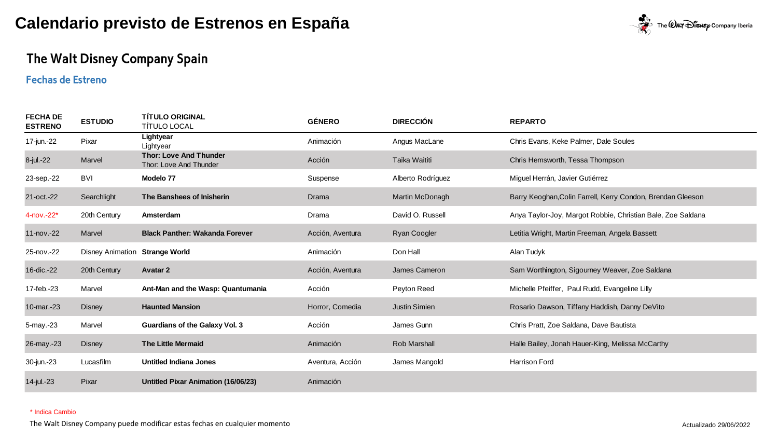

## The Walt Disney Company Spain

### **Fechas de Estreno**

| <b>FECHA DE</b><br><b>ESTRENO</b> | <b>ESTUDIO</b>                 | <b>TÍTULO ORIGINAL</b><br><b>TÍTULO LOCAL</b>           | <b>GÉNERO</b>    | <b>DIRECCIÓN</b>     | <b>REPARTO</b>                                              |
|-----------------------------------|--------------------------------|---------------------------------------------------------|------------------|----------------------|-------------------------------------------------------------|
| 17-jun.-22                        | Pixar                          | Lightyear<br>Lightyear                                  | Animación        | Angus MacLane        | Chris Evans, Keke Palmer, Dale Soules                       |
| 8-jul.-22                         | Marvel                         | <b>Thor: Love And Thunder</b><br>Thor: Love And Thunder | Acción           | Taika Waititi        | Chris Hemsworth, Tessa Thompson                             |
| 23-sep.-22                        | BVI                            | Modelo 77                                               | Suspense         | Alberto Rodríguez    | Miquel Herrán, Javier Gutiérrez                             |
| 21-oct.-22                        | Searchlight                    | The Banshees of Inisherin                               | Drama            | Martin McDonagh      | Barry Keoghan, Colin Farrell, Kerry Condon, Brendan Gleeson |
| 4-nov.-22*                        | 20th Century                   | Amsterdam                                               | Drama            | David O. Russell     | Anya Taylor-Joy, Margot Robbie, Christian Bale, Zoe Saldana |
| $11$ -nov.- $22$                  | Marvel                         | <b>Black Panther: Wakanda Forever</b>                   | Acción, Aventura | <b>Ryan Coogler</b>  | Letitia Wright, Martin Freeman, Angela Bassett              |
| 25-nov.-22                        | Disney Animation Strange World |                                                         | Animación        | Don Hall             | Alan Tudyk                                                  |
| 16-dic.-22                        | 20th Century                   | <b>Avatar 2</b>                                         | Acción, Aventura | James Cameron        | Sam Worthington, Sigourney Weaver, Zoe Saldana              |
| 17-feb.-23                        | Marvel                         | Ant-Man and the Wasp: Quantumania                       | Acción           | Peyton Reed          | Michelle Pfeiffer, Paul Rudd, Evangeline Lilly              |
| 10-mar.-23                        | <b>Disney</b>                  | <b>Haunted Mansion</b>                                  | Horror, Comedia  | <b>Justin Simien</b> | Rosario Dawson, Tiffany Haddish, Danny DeVito               |
| 5-may.-23                         | Marvel                         | <b>Guardians of the Galaxy Vol. 3</b>                   | Acción           | James Gunn           | Chris Pratt, Zoe Saldana, Dave Bautista                     |
| 26-may.-23                        | <b>Disney</b>                  | <b>The Little Mermaid</b>                               | Animación        | <b>Rob Marshall</b>  | Halle Bailey, Jonah Hauer-King, Melissa McCarthy            |
| 30-jun.-23                        | Lucasfilm                      | Untitled Indiana Jones                                  | Aventura, Acción | James Mangold        | <b>Harrison Ford</b>                                        |
| 14-jul.-23                        | Pixar                          | <b>Untitled Pixar Animation (16/06/23)</b>              | Animación        |                      |                                                             |

#### \* Indica Cambio

The Walt Disney Company puede modificar estas fechas en cualquier momento